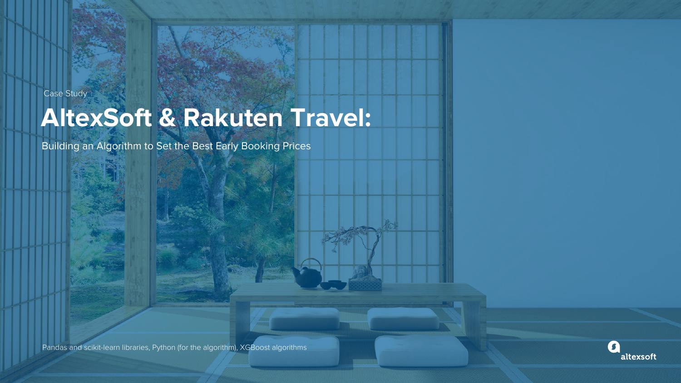Case Study

Pandas and scikit-learn libraries, Python (for the algorithm), XGBoost algorithms



#### Lorem ipsum **AltexSoft & Rakuten Travel:**





Building an Algorithm to Set the Best Early Booking Prices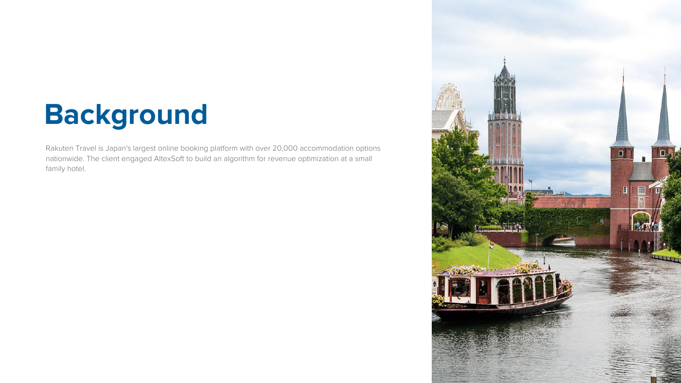## **Background**

Rakuten Travel is Japan's largest online booking platform with over 20,000 accommodation options nationwide. The client engaged AltexSoft to build an algorithm for revenue optimization at a small family hotel.

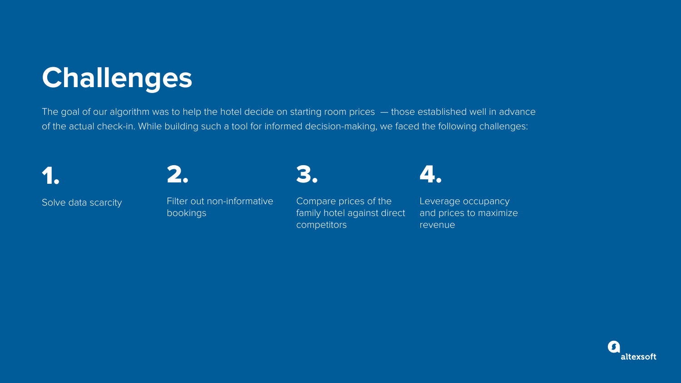# **Challenges**



Solve data scarcity



Filter out non-informative bookings



Compare prices of the family hotel against direct competitors



Leverage occupancy and prices to maximize revenue





The goal of our algorithm was to help the hotel decide on starting room prices - those established well in advance of the actual check-in. While building such a tool for informed decision-making, we faced the following challenges: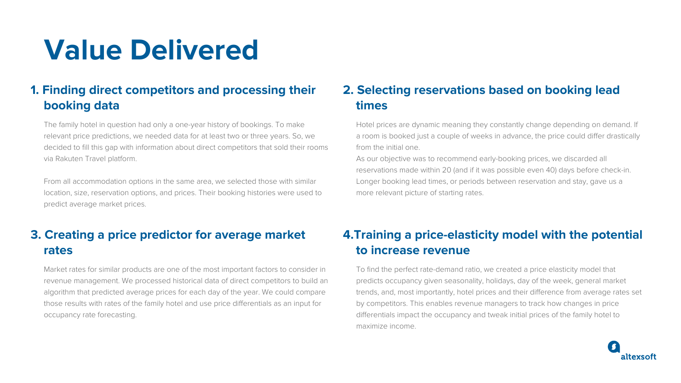## **Value Delivered**

### **2. Selecting reservations based on booking lead times**

Hotel prices are dynamic meaning they constantly change depending on demand. If a room is booked just a couple of weeks in advance, the price could differ drastically from the initial one.

As our objective was to recommend early-booking prices, we discarded all reservations made within 20 (and if it was possible even 40) days before check-in. Longer booking lead times, or periods between reservation and stay, gave us a more relevant picture of starting rates.

### **1. Finding direct competitors and processing their booking data**

The family hotel in question had only a one-year history of bookings. To make relevant price predictions, we needed data for at least two or three years. So, we decided to fill this gap with information about direct competitors that sold their rooms via Rakuten Travel platform.

From all accommodation options in the same area, we selected those with similar location, size, reservation options, and prices. Their booking histories were used to predict average market prices.

### **4.Training a price-elasticity model with the potential to increase revenue**





To find the perfect rate-demand ratio, we created a price elasticity model that predicts occupancy given seasonality, holidays, day of the week, general market trends, and, most importantly, hotel prices and their difference from average rates set by competitors. This enables revenue managers to track how changes in price differentials impact the occupancy and tweak initial prices of the family hotel to maximize income. Market rates for similar products are one of the most important factors to consider in revenue management. We processed historical data of direct competitors to build an algorithm that predicted average prices for each day of the year. We could compare those results with rates of the family hotel and use price differentials as an input for occupancy rate forecasting.

### **3. Creating a price predictor for average market rates**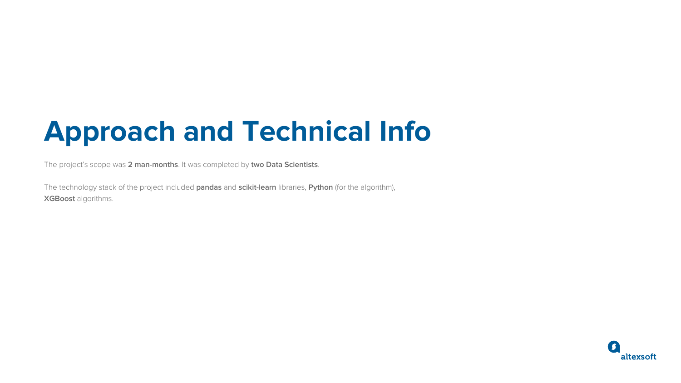# **Approach and Technical Info**

The project's scope was **2 man-months**. It was completed by **two Data Scientists**.

The technology stack of the project included **pandas** and **scikit-learn** libraries, **Python** (for the algorithm), **XGBoost** algorithms.